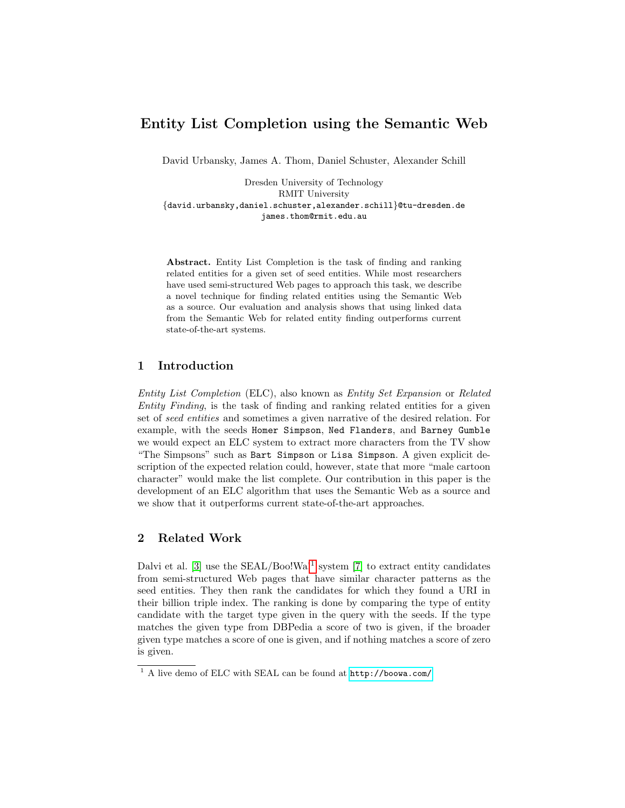# Entity List Completion using the Semantic Web

David Urbansky, James A. Thom, Daniel Schuster, Alexander Schill

Dresden University of Technology RMIT University {david.urbansky,daniel.schuster,alexander.schill}@tu-dresden.de james.thom@rmit.edu.au

Abstract. Entity List Completion is the task of finding and ranking related entities for a given set of seed entities. While most researchers have used semi-structured Web pages to approach this task, we describe a novel technique for finding related entities using the Semantic Web as a source. Our evaluation and analysis shows that using linked data from the Semantic Web for related entity finding outperforms current state-of-the-art systems.

### 1 Introduction

Entity List Completion (ELC), also known as Entity Set Expansion or Related Entity Finding, is the task of finding and ranking related entities for a given set of seed entities and sometimes a given narrative of the desired relation. For example, with the seeds Homer Simpson, Ned Flanders, and Barney Gumble we would expect an ELC system to extract more characters from the TV show "The Simpsons" such as Bart Simpson or Lisa Simpson. A given explicit description of the expected relation could, however, state that more "male cartoon character" would make the list complete. Our contribution in this paper is the development of an ELC algorithm that uses the Semantic Web as a source and we show that it outperforms current state-of-the-art approaches.

# 2 Related Work

Dalvi et al.  $[3]$  use the SEAL/Boo!Wa!<sup>[1](#page-0-0)</sup> system  $[7]$  to extract entity candidates from semi-structured Web pages that have similar character patterns as the seed entities. They then rank the candidates for which they found a URI in their billion triple index. The ranking is done by comparing the type of entity candidate with the target type given in the query with the seeds. If the type matches the given type from DBPedia a score of two is given, if the broader given type matches a score of one is given, and if nothing matches a score of zero is given.

<span id="page-0-0"></span> $1$ <sup>1</sup> A live demo of ELC with SEAL can be found at  $http://bowa.com/$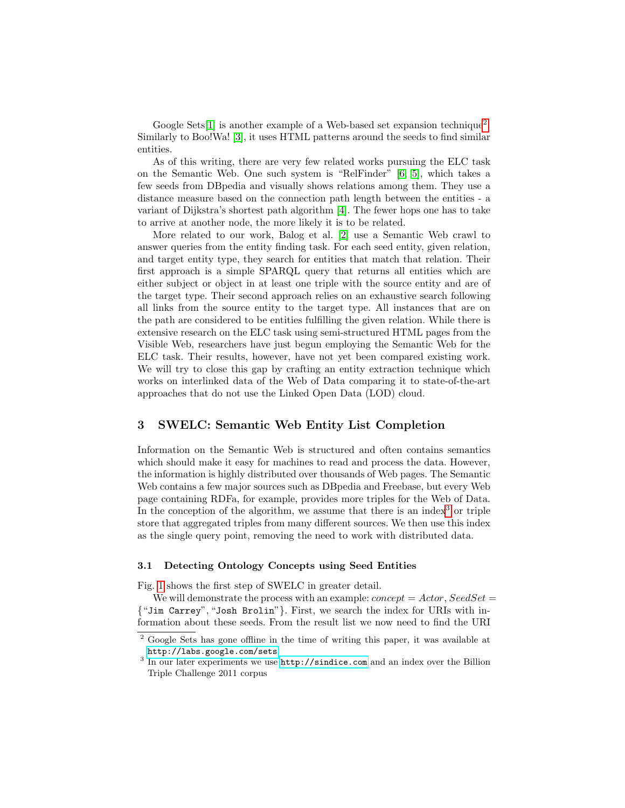Google Sets<sup>[\[1\]](#page-7-2)</sup> is another example of a Web-based set expansion technique<sup>[2](#page-1-0)</sup>. Similarly to Boo!Wa! [\[3\]](#page-7-0), it uses HTML patterns around the seeds to find similar entities.

As of this writing, there are very few related works pursuing the ELC task on the Semantic Web. One such system is "RelFinder" [\[6,](#page-7-3) [5\]](#page-7-4), which takes a few seeds from DBpedia and visually shows relations among them. They use a distance measure based on the connection path length between the entities - a variant of Dijkstra's shortest path algorithm [\[4\]](#page-7-5). The fewer hops one has to take to arrive at another node, the more likely it is to be related.

More related to our work, Balog et al. [\[2\]](#page-7-6) use a Semantic Web crawl to answer queries from the entity finding task. For each seed entity, given relation, and target entity type, they search for entities that match that relation. Their first approach is a simple SPARQL query that returns all entities which are either subject or object in at least one triple with the source entity and are of the target type. Their second approach relies on an exhaustive search following all links from the source entity to the target type. All instances that are on the path are considered to be entities fulfilling the given relation. While there is extensive research on the ELC task using semi-structured HTML pages from the Visible Web, researchers have just begun employing the Semantic Web for the ELC task. Their results, however, have not yet been compared existing work. We will try to close this gap by crafting an entity extraction technique which works on interlinked data of the Web of Data comparing it to state-of-the-art approaches that do not use the Linked Open Data (LOD) cloud.

### 3 SWELC: Semantic Web Entity List Completion

Information on the Semantic Web is structured and often contains semantics which should make it easy for machines to read and process the data. However, the information is highly distributed over thousands of Web pages. The Semantic Web contains a few major sources such as DBpedia and Freebase, but every Web page containing RDFa, for example, provides more triples for the Web of Data. In the conception of the algorithm, we assume that there is an index<sup>[3](#page-1-1)</sup> or triple store that aggregated triples from many different sources. We then use this index as the single query point, removing the need to work with distributed data.

### 3.1 Detecting Ontology Concepts using Seed Entities

Fig. [1](#page-2-0) shows the first step of SWELC in greater detail.

We will demonstrate the process with an example:  $concept = Actor$ ,  $SeedSet =$ {"Jim Carrey", "Josh Brolin"}. First, we search the index for URIs with information about these seeds. From the result list we now need to find the URI

<span id="page-1-0"></span><sup>2</sup> Google Sets has gone offline in the time of writing this paper, it was available at <http://labs.google.com/sets>

<span id="page-1-1"></span><sup>&</sup>lt;sup>3</sup> In our later experiments we use <http://sindice.com> and an index over the Billion Triple Challenge 2011 corpus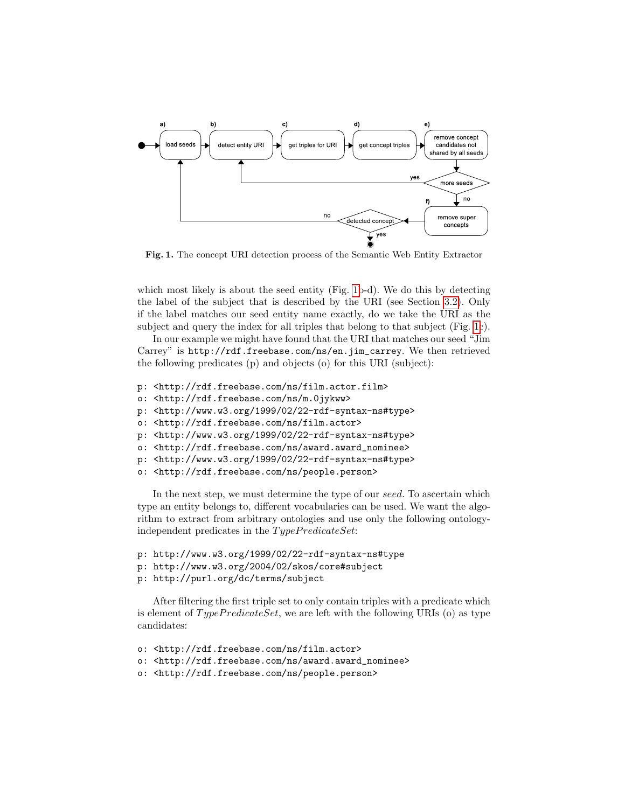

<span id="page-2-0"></span>Fig. 1. The concept URI detection process of the Semantic Web Entity Extractor

which most likely is about the seed entity (Fig. [1b](#page-2-0)-d). We do this by detecting the label of the subject that is described by the URI (see Section [3.2\)](#page-4-0). Only if the label matches our seed entity name exactly, do we take the URI as the subject and query the index for all triples that belong to that subject (Fig. [1c](#page-2-0)).

In our example we might have found that the URI that matches our seed "Jim Carrey" is http://rdf.freebase.com/ns/en.jim\_carrey. We then retrieved the following predicates (p) and objects (o) for this URI (subject):

- p: <http://rdf.freebase.com/ns/film.actor.film>
- o: <http://rdf.freebase.com/ns/m.0jykww>
- p: <http://www.w3.org/1999/02/22-rdf-syntax-ns#type>
- o: <http://rdf.freebase.com/ns/film.actor>
- p: <http://www.w3.org/1999/02/22-rdf-syntax-ns#type>
- o: <http://rdf.freebase.com/ns/award.award\_nominee>
- p: <http://www.w3.org/1999/02/22-rdf-syntax-ns#type>
- o: <http://rdf.freebase.com/ns/people.person>

In the next step, we must determine the type of our seed. To ascertain which type an entity belongs to, different vocabularies can be used. We want the algorithm to extract from arbitrary ontologies and use only the following ontologyindependent predicates in the  $Type Predicteset:$ 

- p: http://www.w3.org/1999/02/22-rdf-syntax-ns#type
- p: http://www.w3.org/2004/02/skos/core#subject
- p: http://purl.org/dc/terms/subject

After filtering the first triple set to only contain triples with a predicate which is element of  $Type Predicteset$ , we are left with the following URIs (o) as type candidates:

- o: <http://rdf.freebase.com/ns/film.actor>
- o: <http://rdf.freebase.com/ns/award.award\_nominee>
- o: <http://rdf.freebase.com/ns/people.person>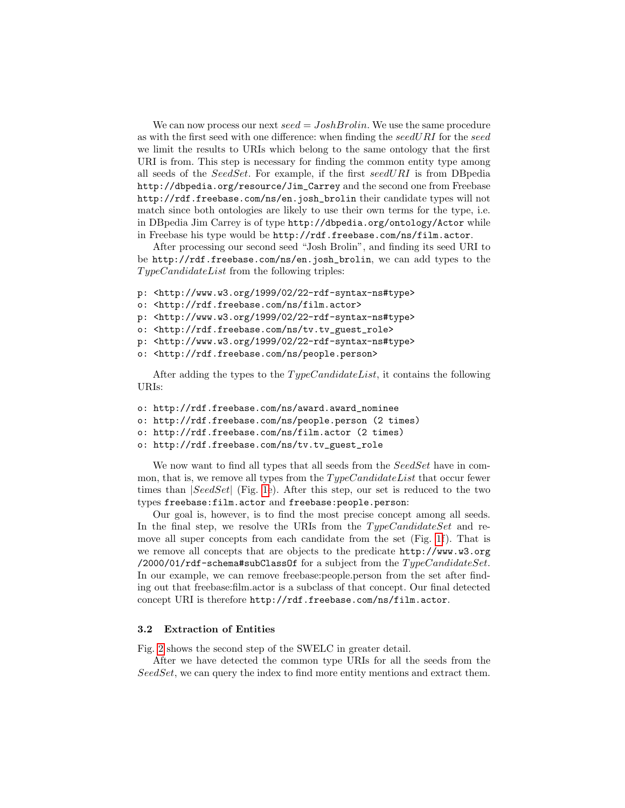We can now process our next  $seed = Joshua$ . We use the same procedure as with the first seed with one difference: when finding the  $seedURI$  for the seed we limit the results to URIs which belong to the same ontology that the first URI is from. This step is necessary for finding the common entity type among all seeds of the SeedSet. For example, if the first seedURI is from DBpedia http://dbpedia.org/resource/Jim\_Carrey and the second one from Freebase http://rdf.freebase.com/ns/en.josh\_brolin their candidate types will not match since both ontologies are likely to use their own terms for the type, i.e. in DBpedia Jim Carrey is of type http://dbpedia.org/ontology/Actor while in Freebase his type would be http://rdf.freebase.com/ns/film.actor.

After processing our second seed "Josh Brolin", and finding its seed URI to be http://rdf.freebase.com/ns/en.josh\_brolin, we can add types to the  $Type CandidateList$  from the following triples:

- p: <http://www.w3.org/1999/02/22-rdf-syntax-ns#type>
- o: <http://rdf.freebase.com/ns/film.actor>
- p: <http://www.w3.org/1999/02/22-rdf-syntax-ns#type>
- o: <http://rdf.freebase.com/ns/tv.tv\_guest\_role>
- p: <http://www.w3.org/1999/02/22-rdf-syntax-ns#type>
- o: <http://rdf.freebase.com/ns/people.person>

After adding the types to the  $Type CandidateList$ , it contains the following URIs:

- o: http://rdf.freebase.com/ns/award.award\_nominee
- o: http://rdf.freebase.com/ns/people.person (2 times)
- o: http://rdf.freebase.com/ns/film.actor (2 times)
- o: http://rdf.freebase.com/ns/tv.tv\_guest\_role

We now want to find all types that all seeds from the SeedSet have in common, that is, we remove all types from the  $Type CandidateList$  that occur fewer times than  $|SeedSet|$  (Fig. [1e](#page-2-0)). After this step, our set is reduced to the two types freebase:film.actor and freebase:people.person:

Our goal is, however, is to find the most precise concept among all seeds. In the final step, we resolve the URIs from the  $Type CandidateSet$  and remove all super concepts from each candidate from the set (Fig. [1f](#page-2-0)). That is we remove all concepts that are objects to the predicate http://www.w3.org /2000/01/rdf-schema#subClassOf for a subject from the  $Type Candidate Set$ . In our example, we can remove freebase:people.person from the set after finding out that freebase:film.actor is a subclass of that concept. Our final detected concept URI is therefore http://rdf.freebase.com/ns/film.actor.

#### 3.2 Extraction of Entities

Fig. [2](#page-4-0) shows the second step of the SWELC in greater detail.

After we have detected the common type URIs for all the seeds from the SeedSet, we can query the index to find more entity mentions and extract them.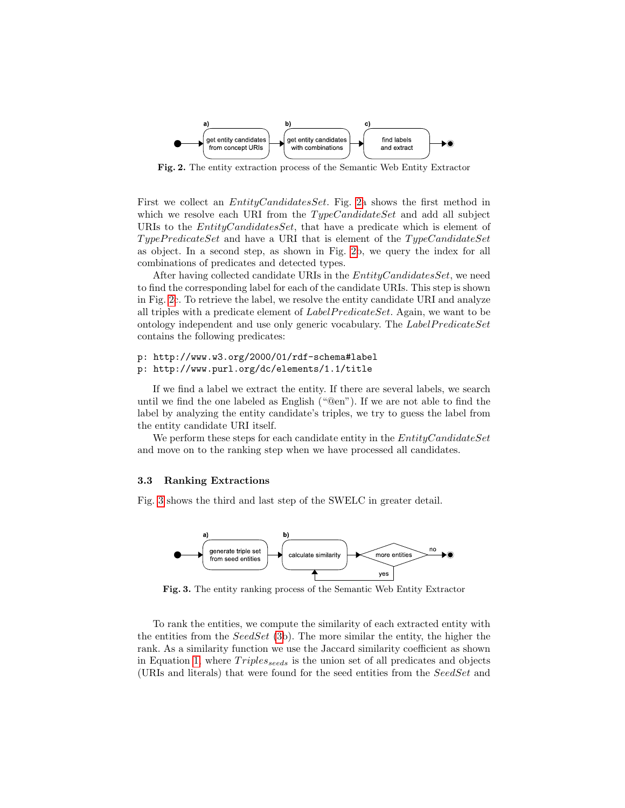

<span id="page-4-0"></span>Fig. 2. The entity extraction process of the Semantic Web Entity Extractor

First we collect an *EntityCandidatesSet*. Fig. [2a](#page-4-0) shows the first method in which we resolve each URI from the  $Type CandidateSet$  and add all subject URIs to the *EntityCandidatesSet*, that have a predicate which is element of TypePredicateSet and have a URI that is element of the TypeCandidateSet as object. In a second step, as shown in Fig. [2b](#page-4-0), we query the index for all combinations of predicates and detected types.

After having collected candidate URIs in the *EntityCandidatesSet*, we need to find the corresponding label for each of the candidate URIs. This step is shown in Fig. [2c](#page-4-0). To retrieve the label, we resolve the entity candidate URI and analyze all triples with a predicate element of  $LabelPredictSet$ . Again, we want to be ontology independent and use only generic vocabulary. The  $LabelPredictSet$ contains the following predicates:

#### p: http://www.w3.org/2000/01/rdf-schema#label

#### p: http://www.purl.org/dc/elements/1.1/title

If we find a label we extract the entity. If there are several labels, we search until we find the one labeled as English ("@en"). If we are not able to find the label by analyzing the entity candidate's triples, we try to guess the label from the entity candidate URI itself.

We perform these steps for each candidate entity in the  $EntityC and idateSet$ and move on to the ranking step when we have processed all candidates.

#### 3.3 Ranking Extractions

Fig. [3](#page-4-1) shows the third and last step of the SWELC in greater detail.



<span id="page-4-1"></span>Fig. 3. The entity ranking process of the Semantic Web Entity Extractor

To rank the entities, we compute the similarity of each extracted entity with the entities from the  $SeedSet$  [\(3b](#page-4-1)). The more similar the entity, the higher the rank. As a similarity function we use the Jaccard similarity coefficient as shown in Equation [1,](#page-5-0) where  $Triples_{seeds}$  is the union set of all predicates and objects (URIs and literals) that were found for the seed entities from the SeedSet and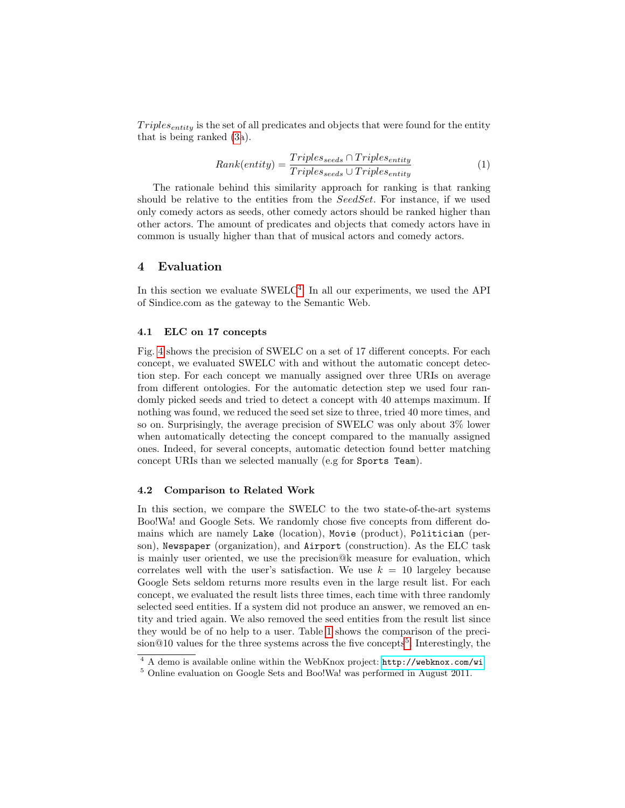$Triples_{entity}$  is the set of all predicates and objects that were found for the entity that is being ranked [\(3a](#page-4-1)).

<span id="page-5-0"></span>
$$
Rank(entity) = \frac{Triples_{seeds} \cap Triples_{entity}}{Triples_{seeds} \cup Triples_{entity}} \tag{1}
$$

The rationale behind this similarity approach for ranking is that ranking should be relative to the entities from the SeedSet. For instance, if we used only comedy actors as seeds, other comedy actors should be ranked higher than other actors. The amount of predicates and objects that comedy actors have in common is usually higher than that of musical actors and comedy actors.

### 4 Evaluation

In this section we evaluate  $\text{SWELC}^4$  $\text{SWELC}^4$ . In all our experiments, we used the API of Sindice.com as the gateway to the Semantic Web.

#### 4.1 ELC on 17 concepts

Fig. [4](#page-6-0) shows the precision of SWELC on a set of 17 different concepts. For each concept, we evaluated SWELC with and without the automatic concept detection step. For each concept we manually assigned over three URIs on average from different ontologies. For the automatic detection step we used four randomly picked seeds and tried to detect a concept with 40 attemps maximum. If nothing was found, we reduced the seed set size to three, tried 40 more times, and so on. Surprisingly, the average precision of SWELC was only about 3% lower when automatically detecting the concept compared to the manually assigned ones. Indeed, for several concepts, automatic detection found better matching concept URIs than we selected manually (e.g for Sports Team).

#### 4.2 Comparison to Related Work

In this section, we compare the SWELC to the two state-of-the-art systems Boo!Wa! and Google Sets. We randomly chose five concepts from different domains which are namely Lake (location), Movie (product), Politician (person), Newspaper (organization), and Airport (construction). As the ELC task is mainly user oriented, we use the precision@k measure for evaluation, which correlates well with the user's satisfaction. We use  $k = 10$  largeley because Google Sets seldom returns more results even in the large result list. For each concept, we evaluated the result lists three times, each time with three randomly selected seed entities. If a system did not produce an answer, we removed an entity and tried again. We also removed the seed entities from the result list since they would be of no help to a user. Table [1](#page-6-1) shows the comparison of the preci-sion@10 values for the three systems across the five concepts<sup>[5](#page-5-2)</sup>. Interestingly, the

<span id="page-5-1"></span> $\overline{4 A}$  demo is available online within the WebKnox project: <http://webknox.com/wi>

<span id="page-5-2"></span><sup>5</sup> Online evaluation on Google Sets and Boo!Wa! was performed in August 2011.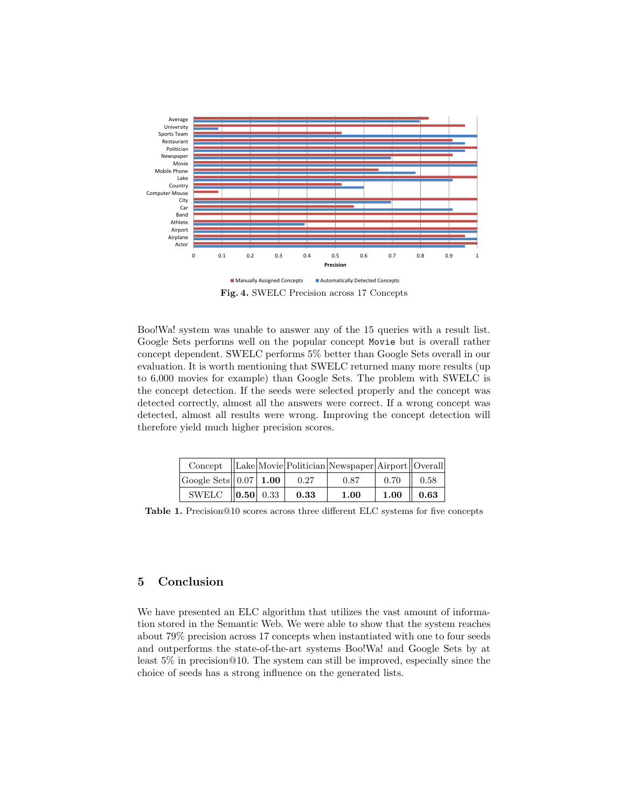

<span id="page-6-0"></span>Fig. 4. SWELC Precision across 17 Concepts

Boo!Wa! system was unable to answer any of the 15 queries with a result list. Google Sets performs well on the popular concept Movie but is overall rather concept dependent. SWELC performs 5% better than Google Sets overall in our evaluation. It is worth mentioning that SWELC returned many more results (up to 6,000 movies for example) than Google Sets. The problem with SWELC is the concept detection. If the seeds were selected properly and the concept was detected correctly, almost all the answers were correct. If a wrong concept was detected, almost all results were wrong. Improving the concept detection will therefore yield much higher precision scores.

|                                    |  |      | $\text{Concept}$  Lake Movie Politician Newspaper Airport  Overall |                       |  |
|------------------------------------|--|------|--------------------------------------------------------------------|-----------------------|--|
| Google Sets $ 0.07 $ 1.00 $ 0.27 $ |  |      | 0.87                                                               | $0.70$   0.58         |  |
| SWELC $\ 0.50\ $ 0.33              |  | 0.33 | 1.00                                                               | $1.00 \parallel 0.63$ |  |

<span id="page-6-1"></span>Table 1. Precision@10 scores across three different ELC systems for five concepts

### 5 Conclusion

We have presented an ELC algorithm that utilizes the vast amount of information stored in the Semantic Web. We were able to show that the system reaches about 79% precision across 17 concepts when instantiated with one to four seeds and outperforms the state-of-the-art systems Boo!Wa! and Google Sets by at least 5% in precision@10. The system can still be improved, especially since the choice of seeds has a strong influence on the generated lists.